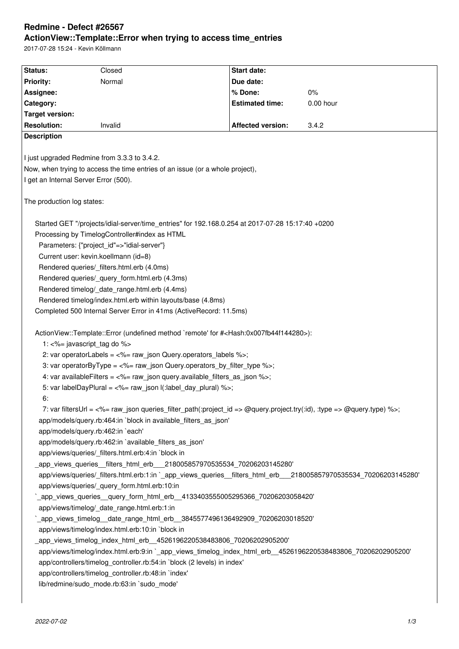# **Redmine - Defect #26567 ActionView::Template::Error when trying to access time\_entries**

2017-07-28 15:24 - Kevin Köllmann

| Status:                               | Closed                                                                                                                 | <b>Start date:</b>       |           |
|---------------------------------------|------------------------------------------------------------------------------------------------------------------------|--------------------------|-----------|
| <b>Priority:</b>                      | Normal                                                                                                                 | Due date:                |           |
| Assignee:                             |                                                                                                                        | % Done:                  | 0%        |
| Category:                             |                                                                                                                        | <b>Estimated time:</b>   | 0.00 hour |
| <b>Target version:</b>                |                                                                                                                        |                          |           |
| <b>Resolution:</b>                    | Invalid                                                                                                                | <b>Affected version:</b> | 3.4.2     |
| <b>Description</b>                    |                                                                                                                        |                          |           |
|                                       |                                                                                                                        |                          |           |
|                                       | I just upgraded Redmine from 3.3.3 to 3.4.2.                                                                           |                          |           |
|                                       | Now, when trying to access the time entries of an issue (or a whole project),                                          |                          |           |
| I get an Internal Server Error (500). |                                                                                                                        |                          |           |
|                                       |                                                                                                                        |                          |           |
| The production log states:            |                                                                                                                        |                          |           |
|                                       |                                                                                                                        |                          |           |
|                                       | Started GET "/projects/idial-server/time entries" for 192.168.0.254 at 2017-07-28 15:17:40 +0200                       |                          |           |
|                                       | Processing by TimelogController#index as HTML                                                                          |                          |           |
|                                       | Parameters: {"project_id"=>"idial-server"}                                                                             |                          |           |
|                                       | Current user: kevin.koellmann (id=8)                                                                                   |                          |           |
|                                       | Rendered queries/_filters.html.erb (4.0ms)                                                                             |                          |           |
|                                       | Rendered queries/ query form.html.erb (4.3ms)                                                                          |                          |           |
|                                       | Rendered timelog/_date_range.html.erb (4.4ms)                                                                          |                          |           |
|                                       | Rendered timelog/index.html.erb within layouts/base (4.8ms)                                                            |                          |           |
|                                       | Completed 500 Internal Server Error in 41ms (ActiveRecord: 11.5ms)                                                     |                          |           |
|                                       |                                                                                                                        |                          |           |
|                                       | ActionView::Template::Error (undefined method `remote' for # <hash:0x007fb44f144280>):</hash:0x007fb44f144280>         |                          |           |
| 1: <%= javascript_tag do %>           |                                                                                                                        |                          |           |
|                                       | 2: var operatorLabels = <%= raw_json Query.operators_labels %>;                                                        |                          |           |
|                                       | 3: var operatorByType = <%= raw_json Query.operators_by_filter_type %>;                                                |                          |           |
|                                       | 4: var available Filters = $\langle -\%$ = raw json query available filters as json $\%$ >;                            |                          |           |
|                                       | 5: var labelDayPlural = $\langle\%$ = raw_json l(:label_day_plural) %>;                                                |                          |           |
| 6:                                    |                                                                                                                        |                          |           |
|                                       | 7: var filtersUrl = <%= raw_json queries_filter_path(:project_id => @query.project.try(:id), :type => @query.type) %>; |                          |           |
|                                       | app/models/query.rb:464:in `block in available_filters_as_json'                                                        |                          |           |
|                                       | app/models/query.rb:462:in `each'                                                                                      |                          |           |
|                                       | app/models/query.rb:462:in `available filters as json'                                                                 |                          |           |
|                                       | app/views/queries/_filters.html.erb:4:in `block in                                                                     |                          |           |
|                                       | _app_views_queries__filters_html_erb___218005857970535534_70206203145280'                                              |                          |           |
|                                       | app/views/queries/_filters.html.erb:1:in `_app_views_queries_filters_html_erb__218005857970535534_70206203145280'      |                          |           |
|                                       | app/views/queries/_query_form.html.erb:10:in                                                                           |                          |           |
|                                       | `_app_views_queries__query_form_html_erb__4133403555005295366_70206203058420'                                          |                          |           |
|                                       | app/views/timelog/_date_range.html.erb:1:in                                                                            |                          |           |
|                                       | `_app_views_timelog__date_range_html_erb__3845577496136492909_70206203018520'                                          |                          |           |
|                                       | app/views/timelog/index.html.erb:10:in `block in                                                                       |                          |           |
|                                       | _app_views_timelog_index_html_erb__4526196220538483806_70206202905200'                                                 |                          |           |
|                                       | app/views/timelog/index.html.erb:9:in `_app_views_timelog_index_html_erb_4526196220538483806_70206202905200'           |                          |           |
|                                       | app/controllers/timelog_controller.rb:54:in `block (2 levels) in index'                                                |                          |           |
|                                       | app/controllers/timelog_controller.rb:48:in `index'                                                                    |                          |           |
|                                       | lib/redmine/sudo_mode.rb:63:in `sudo_mode'                                                                             |                          |           |
|                                       |                                                                                                                        |                          |           |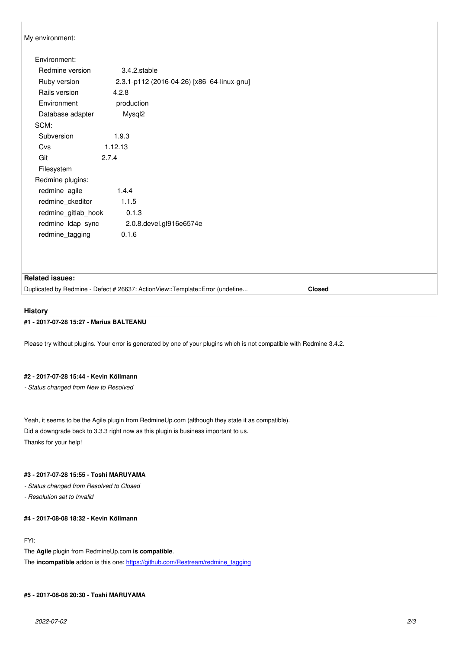My environment:

| Environment:        |                                            |  |
|---------------------|--------------------------------------------|--|
| Redmine version     | 3.4.2.stable                               |  |
| Ruby version        | 2.3.1-p112 (2016-04-26) [x86 64-linux-gnu] |  |
| Rails version       | 4.2.8                                      |  |
| Environment         | production                                 |  |
| Database adapter    | Mysql <sub>2</sub>                         |  |
| SCM:                |                                            |  |
| Subversion          | 1.9.3                                      |  |
| Cvs                 | 1.12.13                                    |  |
| Git                 | 2.7.4                                      |  |
| Filesystem          |                                            |  |
| Redmine plugins:    |                                            |  |
| redmine agile       | 1.4.4                                      |  |
| redmine ckeditor    | 1.1.5                                      |  |
| redmine gitlab hook | 0.1.3                                      |  |
| redmine_ldap_sync   | 2.0.8. devel.gf916e6574e                   |  |
| redmine_tagging     | 0.1.6                                      |  |
|                     |                                            |  |

#### **Related issues:**

Duplicated by Redmine - Defect # 26637: ActionView::Template::Error (undefine... **Closed**

#### **History**

#### **#1 - 2017-07-28 15:27 - Marius BALTEANU**

Please try without plugins. Your error is generated by one of your plugins which is not compatible with Redmine 3.4.2.

#### **#2 - 2017-07-28 15:44 - Kevin Köllmann**

*- Status changed from New to Resolved*

Yeah, it seems to be the Agile plugin from RedmineUp.com (although they state it as compatible). Did a downgrade back to 3.3.3 right now as this plugin is business important to us. Thanks for your help!

## **#3 - 2017-07-28 15:55 - Toshi MARUYAMA**

*- Status changed from Resolved to Closed*

*- Resolution set to Invalid*

## **#4 - 2017-08-08 18:32 - Kevin Köllmann**

## FYI:

The **Agile** plugin from RedmineUp.com **is compatible**.

The **incompatible** addon is this one: https://github.com/Restream/redmine\_tagging

#### **#5 - 2017-08-08 20:30 - Toshi MAR[UYAMA](https://github.com/Restream/redmine_tagging)**